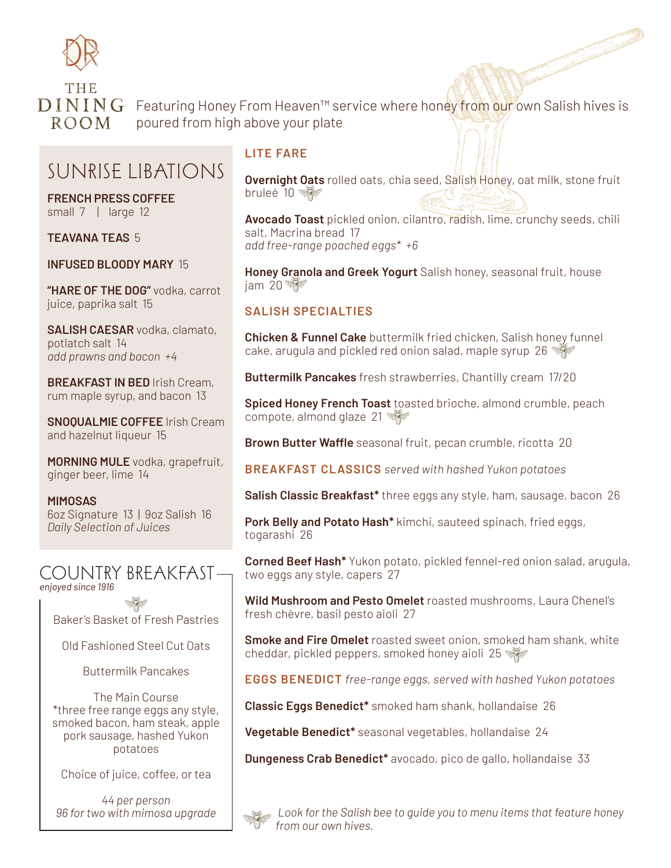

 $\bf{D}$  I  $\bf{N}$   $\bf{N}$   $\bf{G}$  Featuring Honey From Heaven<sup>th</sup> service where honey from our own Salish hives is **ROOM** poured from high above your plate

# SUNRISE LIBATIONS

**FRENCH PRESS COFFEE** small 7 | large 12

**TEAVANA TEAS** 5

**INFUSED BLOODY MARY** 15

**"HARE OF THE DOG"** vodka, carrot juice, paprika salt 15

**SALISH CAESAR** vodka, clamato, potlatch salt 14 *add prawns and bacon +4*

**BREAKFAST IN BED** Irish Cream, rum maple syrup, and bacon 13

**SNOQUALMIE COFFEE** Irish Cream and hazelnut liqueur 15

**MORNING MULE** vodka, grapefruit, ginger beer, lime 14

**MIMOSAS** 6oz Signature 13 | 9oz Salish 16 *Daily Selection of Juices*



Baker's Basket of Fresh Pastries

Old Fashioned Steel Cut Oats

Buttermilk Pancakes

The Main Course \*three free range eggs any style, smoked bacon, ham steak, apple pork sausage, hashed Yukon potatoes

Choice of juice, coffee, or tea

*44 per person 96 for two with mimosa upgrade*

#### **LITE FARE**

**Overnight Oats** rolled oats, chia seed, Salish Honey, oat milk, stone fruit bruleé 10 <※

**Avocado Toast** pickled onion, cilantro, radish, lime, crunchy seeds, chili salt, Macrina bread 17 *add free-range poached eggs\* +6*

**Honey Granola and Greek Yogurt** Salish honey, seasonal fruit, house jam 20  $\frac{1}{2}$ 

### **SALISH SPECIALTIES**

**Chicken & Funnel Cake** buttermilk fried chicken, Salish honey funnel cake, arugula and pickled red onion salad, maple syrup 26

**Buttermilk Pancakes** fresh strawberries, Chantilly cream 17/20

**Spiced Honey French Toast** toasted brioche, almond crumble, peach compote, almond glaze 21

**Brown Butter Waffle** seasonal fruit, pecan crumble, ricotta 20

**BREAKFAST CLASSICS** *served with hashed Yukon potatoes*

**Salish Classic Breakfast\*** three eggs any style, ham, sausage, bacon 26

**Pork Belly and Potato Hash\*** kimchi, sauteed spinach, fried eggs, togarashi 26

**Corned Beef Hash\*** Yukon potato, pickled fennel-red onion salad, arugula, two eggs any style, capers 27

**Wild Mushroom and Pesto Omelet** roasted mushrooms, Laura Chenel's fresh chèvre, basil pesto aioli 27

**Smoke and Fire Omelet** roasted sweet onion, smoked ham shank, white cheddar, pickled peppers, smoked honey aioli 25

**EGGS BENEDICT** *free-range eggs, served with hashed Yukon potatoes*

**Classic Eggs Benedict\*** smoked ham shank, hollandaise 26

**Vegetable Benedict\*** seasonal vegetables, hollandaise 24

**Dungeness Crab Benedict\*** avocado, pico de gallo, hollandaise 33